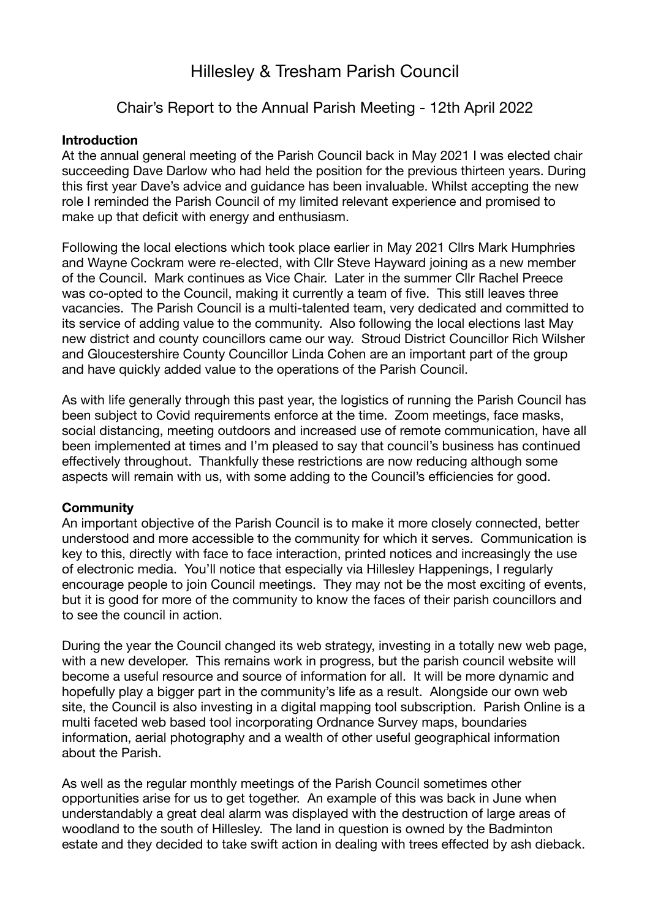# Hillesley & Tresham Parish Council

# Chair's Report to the Annual Parish Meeting - 12th April 2022

### **Introduction**

At the annual general meeting of the Parish Council back in May 2021 I was elected chair succeeding Dave Darlow who had held the position for the previous thirteen years. During this first year Dave's advice and guidance has been invaluable. Whilst accepting the new role I reminded the Parish Council of my limited relevant experience and promised to make up that deficit with energy and enthusiasm.

Following the local elections which took place earlier in May 2021 Cllrs Mark Humphries and Wayne Cockram were re-elected, with Cllr Steve Hayward joining as a new member of the Council. Mark continues as Vice Chair. Later in the summer Cllr Rachel Preece was co-opted to the Council, making it currently a team of five. This still leaves three vacancies. The Parish Council is a multi-talented team, very dedicated and committed to its service of adding value to the community. Also following the local elections last May new district and county councillors came our way. Stroud District Councillor Rich Wilsher and Gloucestershire County Councillor Linda Cohen are an important part of the group and have quickly added value to the operations of the Parish Council.

As with life generally through this past year, the logistics of running the Parish Council has been subject to Covid requirements enforce at the time. Zoom meetings, face masks, social distancing, meeting outdoors and increased use of remote communication, have all been implemented at times and I'm pleased to say that council's business has continued effectively throughout. Thankfully these restrictions are now reducing although some aspects will remain with us, with some adding to the Council's efficiencies for good.

#### **Community**

An important objective of the Parish Council is to make it more closely connected, better understood and more accessible to the community for which it serves. Communication is key to this, directly with face to face interaction, printed notices and increasingly the use of electronic media. You'll notice that especially via Hillesley Happenings, I regularly encourage people to join Council meetings. They may not be the most exciting of events, but it is good for more of the community to know the faces of their parish councillors and to see the council in action.

During the year the Council changed its web strategy, investing in a totally new web page, with a new developer. This remains work in progress, but the parish council website will become a useful resource and source of information for all. It will be more dynamic and hopefully play a bigger part in the community's life as a result. Alongside our own web site, the Council is also investing in a digital mapping tool subscription. Parish Online is a multi faceted web based tool incorporating Ordnance Survey maps, boundaries information, aerial photography and a wealth of other useful geographical information about the Parish.

As well as the regular monthly meetings of the Parish Council sometimes other opportunities arise for us to get together. An example of this was back in June when understandably a great deal alarm was displayed with the destruction of large areas of woodland to the south of Hillesley. The land in question is owned by the Badminton estate and they decided to take swift action in dealing with trees effected by ash dieback.